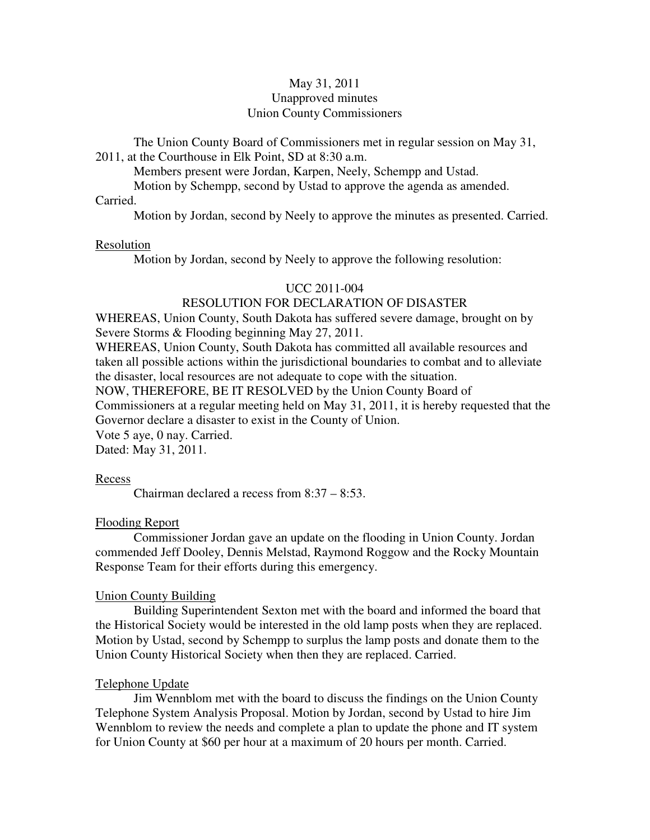# May 31, 2011 Unapproved minutes Union County Commissioners

The Union County Board of Commissioners met in regular session on May 31, 2011, at the Courthouse in Elk Point, SD at 8:30 a.m.

Members present were Jordan, Karpen, Neely, Schempp and Ustad.

Motion by Schempp, second by Ustad to approve the agenda as amended.

### Carried.

Motion by Jordan, second by Neely to approve the minutes as presented. Carried.

#### Resolution

Motion by Jordan, second by Neely to approve the following resolution:

### UCC 2011-004

# RESOLUTION FOR DECLARATION OF DISASTER

WHEREAS, Union County, South Dakota has suffered severe damage, brought on by Severe Storms & Flooding beginning May 27, 2011.

WHEREAS, Union County, South Dakota has committed all available resources and taken all possible actions within the jurisdictional boundaries to combat and to alleviate the disaster, local resources are not adequate to cope with the situation.

NOW, THEREFORE, BE IT RESOLVED by the Union County Board of Commissioners at a regular meeting held on May 31, 2011, it is hereby requested that the Governor declare a disaster to exist in the County of Union. Vote 5 aye, 0 nay. Carried.

Dated: May 31, 2011.

#### Recess

Chairman declared a recess from 8:37 – 8:53.

#### Flooding Report

 Commissioner Jordan gave an update on the flooding in Union County. Jordan commended Jeff Dooley, Dennis Melstad, Raymond Roggow and the Rocky Mountain Response Team for their efforts during this emergency.

#### Union County Building

 Building Superintendent Sexton met with the board and informed the board that the Historical Society would be interested in the old lamp posts when they are replaced. Motion by Ustad, second by Schempp to surplus the lamp posts and donate them to the Union County Historical Society when then they are replaced. Carried.

### Telephone Update

 Jim Wennblom met with the board to discuss the findings on the Union County Telephone System Analysis Proposal. Motion by Jordan, second by Ustad to hire Jim Wennblom to review the needs and complete a plan to update the phone and IT system for Union County at \$60 per hour at a maximum of 20 hours per month. Carried.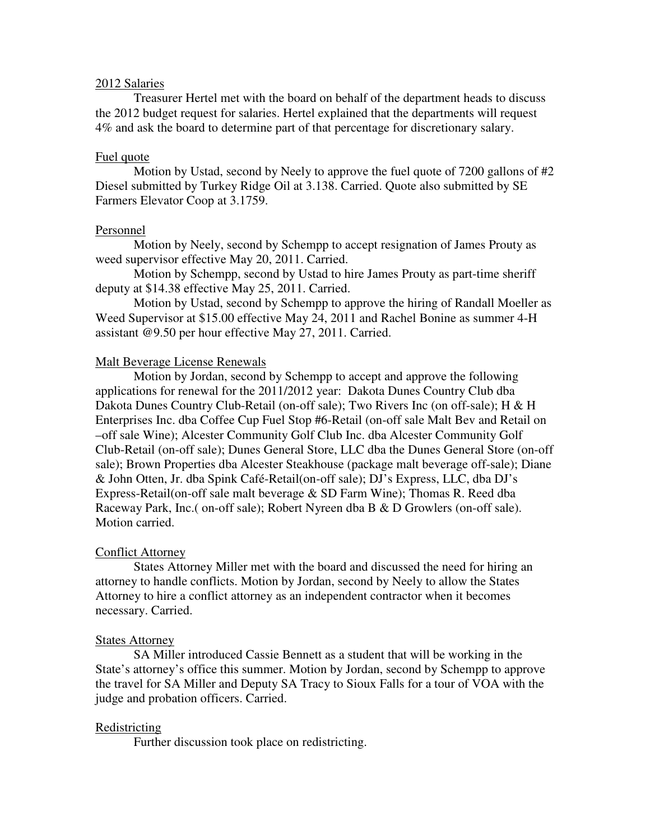## 2012 Salaries

 Treasurer Hertel met with the board on behalf of the department heads to discuss the 2012 budget request for salaries. Hertel explained that the departments will request 4% and ask the board to determine part of that percentage for discretionary salary.

### Fuel quote

 Motion by Ustad, second by Neely to approve the fuel quote of 7200 gallons of #2 Diesel submitted by Turkey Ridge Oil at 3.138. Carried. Quote also submitted by SE Farmers Elevator Coop at 3.1759.

### Personnel

 Motion by Neely, second by Schempp to accept resignation of James Prouty as weed supervisor effective May 20, 2011. Carried.

 Motion by Schempp, second by Ustad to hire James Prouty as part-time sheriff deputy at \$14.38 effective May 25, 2011. Carried.

 Motion by Ustad, second by Schempp to approve the hiring of Randall Moeller as Weed Supervisor at \$15.00 effective May 24, 2011 and Rachel Bonine as summer 4-H assistant @9.50 per hour effective May 27, 2011. Carried.

# Malt Beverage License Renewals

 Motion by Jordan, second by Schempp to accept and approve the following applications for renewal for the 2011/2012 year: Dakota Dunes Country Club dba Dakota Dunes Country Club-Retail (on-off sale); Two Rivers Inc (on off-sale); H & H Enterprises Inc. dba Coffee Cup Fuel Stop #6-Retail (on-off sale Malt Bev and Retail on –off sale Wine); Alcester Community Golf Club Inc. dba Alcester Community Golf Club-Retail (on-off sale); Dunes General Store, LLC dba the Dunes General Store (on-off sale); Brown Properties dba Alcester Steakhouse (package malt beverage off-sale); Diane & John Otten, Jr. dba Spink Café-Retail(on-off sale); DJ's Express, LLC, dba DJ's Express-Retail(on-off sale malt beverage & SD Farm Wine); Thomas R. Reed dba Raceway Park, Inc.( on-off sale); Robert Nyreen dba B & D Growlers (on-off sale). Motion carried.

### Conflict Attorney

 States Attorney Miller met with the board and discussed the need for hiring an attorney to handle conflicts. Motion by Jordan, second by Neely to allow the States Attorney to hire a conflict attorney as an independent contractor when it becomes necessary. Carried.

### States Attorney

 SA Miller introduced Cassie Bennett as a student that will be working in the State's attorney's office this summer. Motion by Jordan, second by Schempp to approve the travel for SA Miller and Deputy SA Tracy to Sioux Falls for a tour of VOA with the judge and probation officers. Carried.

### Redistricting

Further discussion took place on redistricting.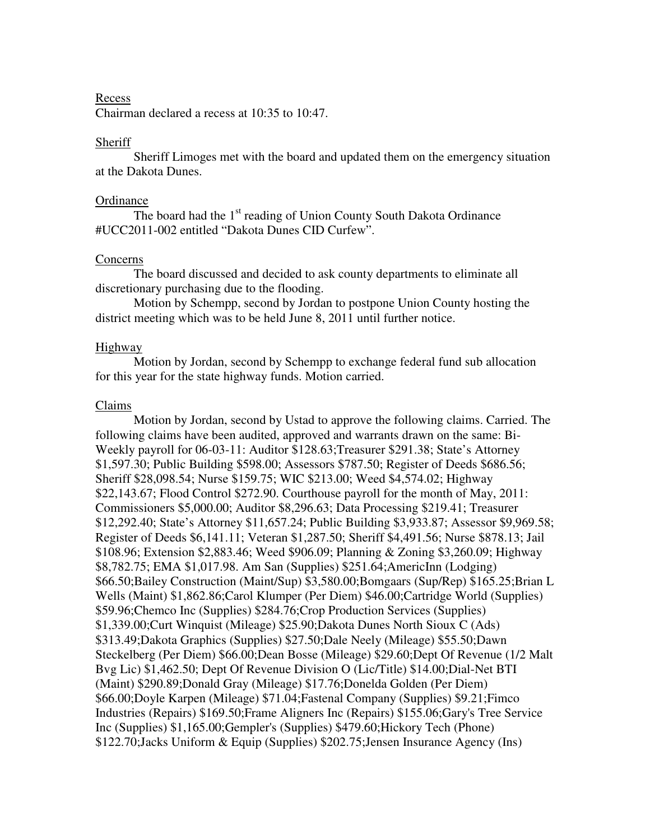# Recess

Chairman declared a recess at 10:35 to 10:47.

## Sheriff

 Sheriff Limoges met with the board and updated them on the emergency situation at the Dakota Dunes.

### **Ordinance**

The board had the  $1<sup>st</sup>$  reading of Union County South Dakota Ordinance #UCC2011-002 entitled "Dakota Dunes CID Curfew".

# Concerns

 The board discussed and decided to ask county departments to eliminate all discretionary purchasing due to the flooding.

 Motion by Schempp, second by Jordan to postpone Union County hosting the district meeting which was to be held June 8, 2011 until further notice.

# Highway

 Motion by Jordan, second by Schempp to exchange federal fund sub allocation for this year for the state highway funds. Motion carried.

### Claims

 Motion by Jordan, second by Ustad to approve the following claims. Carried. The following claims have been audited, approved and warrants drawn on the same: Bi-Weekly payroll for 06-03-11: Auditor \$128.63;Treasurer \$291.38; State's Attorney \$1,597.30; Public Building \$598.00; Assessors \$787.50; Register of Deeds \$686.56; Sheriff \$28,098.54; Nurse \$159.75; WIC \$213.00; Weed \$4,574.02; Highway \$22,143.67; Flood Control \$272.90. Courthouse payroll for the month of May, 2011: Commissioners \$5,000.00; Auditor \$8,296.63; Data Processing \$219.41; Treasurer \$12,292.40; State's Attorney \$11,657.24; Public Building \$3,933.87; Assessor \$9,969.58; Register of Deeds \$6,141.11; Veteran \$1,287.50; Sheriff \$4,491.56; Nurse \$878.13; Jail \$108.96; Extension \$2,883.46; Weed \$906.09; Planning & Zoning \$3,260.09; Highway \$8,782.75; EMA \$1,017.98. Am San (Supplies) \$251.64;AmericInn (Lodging) \$66.50;Bailey Construction (Maint/Sup) \$3,580.00;Bomgaars (Sup/Rep) \$165.25;Brian L Wells (Maint) \$1,862.86;Carol Klumper (Per Diem) \$46.00;Cartridge World (Supplies) \$59.96;Chemco Inc (Supplies) \$284.76;Crop Production Services (Supplies) \$1,339.00;Curt Winquist (Mileage) \$25.90;Dakota Dunes North Sioux C (Ads) \$313.49;Dakota Graphics (Supplies) \$27.50;Dale Neely (Mileage) \$55.50;Dawn Steckelberg (Per Diem) \$66.00;Dean Bosse (Mileage) \$29.60;Dept Of Revenue (1/2 Malt Bvg Lic) \$1,462.50; Dept Of Revenue Division O (Lic/Title) \$14.00;Dial-Net BTI (Maint) \$290.89;Donald Gray (Mileage) \$17.76;Donelda Golden (Per Diem) \$66.00;Doyle Karpen (Mileage) \$71.04;Fastenal Company (Supplies) \$9.21;Fimco Industries (Repairs) \$169.50;Frame Aligners Inc (Repairs) \$155.06;Gary's Tree Service Inc (Supplies) \$1,165.00;Gempler's (Supplies) \$479.60;Hickory Tech (Phone) \$122.70;Jacks Uniform & Equip (Supplies) \$202.75;Jensen Insurance Agency (Ins)